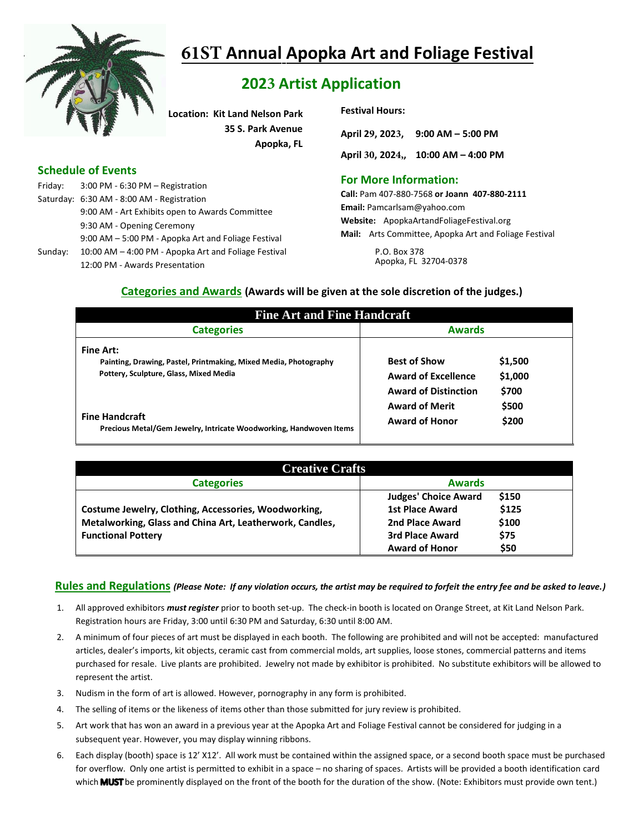

# **61ST Annual Apopka Art and Foliage Festival**

# **2023 Artist Application**

**Location: Kit Land Nelson Park 35 S. Park Avenue Apopka, FL**

# **Schedule of Events**

Friday: 3:00 PM - 6:30 PM – Registration Saturday: 6:30 AM - 8:00 AM - Registration 9:00 AM - Art Exhibits open to Awards Committee 9:30 AM - Opening Ceremony 9:00 AM – 5:00 PM - Apopka Art and Foliage Festival Sunday: 10:00 AM – 4:00 PM - Apopka Art and Foliage Festival 12:00 PM - Awards Presentation

#### **Festival Hours:**

| April 29, 2023, 9:00 AM - 5:00 PM   |  |
|-------------------------------------|--|
| April 30, 2024,, 10:00 AM - 4:00 PM |  |

# **For More Information:**

**Call:** Pam 407-880-7568 **or Joann 407-880-2111 Email:** Pamcarlsam@yahoo.com **Website:** ApopkaArtandFoliageFestival.org **Mail:** Arts Committee, Apopka Art and Foliage Festival

> P.O. Box 378 Apopka, FL 32704-0378

## **Categories and Awards (Awards will be given at the sole discretion of the judges.)**

| <b>Fine Art and Fine Handcraft</b>                                                                                             |                                                                                                                 |                |  |  |  |  |  |
|--------------------------------------------------------------------------------------------------------------------------------|-----------------------------------------------------------------------------------------------------------------|----------------|--|--|--|--|--|
| <b>Categories</b>                                                                                                              | <b>Awards</b>                                                                                                   |                |  |  |  |  |  |
| <b>Fine Art:</b><br>Painting, Drawing, Pastel, Printmaking, Mixed Media, Photography<br>Pottery, Sculpture, Glass, Mixed Media | <b>Best of Show</b><br>\$1,500<br><b>Award of Excellence</b><br>\$1,000<br><b>Award of Distinction</b><br>\$700 |                |  |  |  |  |  |
| <b>Fine Handcraft</b><br>Precious Metal/Gem Jewelry, Intricate Woodworking, Handwoven Items                                    | <b>Award of Merit</b><br><b>Award of Honor</b>                                                                  | \$500<br>\$200 |  |  |  |  |  |

| <b>Creative Crafts</b>                                   |                             |       |  |  |  |
|----------------------------------------------------------|-----------------------------|-------|--|--|--|
| <b>Categories</b>                                        | <b>Awards</b>               |       |  |  |  |
|                                                          | <b>Judges' Choice Award</b> | \$150 |  |  |  |
| Costume Jewelry, Clothing, Accessories, Woodworking,     | <b>1st Place Award</b>      | \$125 |  |  |  |
| Metalworking, Glass and China Art, Leatherwork, Candles, | 2nd Place Award             | \$100 |  |  |  |
| <b>Functional Pottery</b>                                | <b>3rd Place Award</b>      | \$75  |  |  |  |
|                                                          | <b>Award of Honor</b>       | \$50  |  |  |  |

# **Rules and Regulations** *(Please Note: If any violation occurs, the artist may be required to forfeit the entry fee and be asked to leave.)*

- 1. All approved exhibitors *must register* prior to booth set-up. The check-in booth is located on Orange Street, at Kit Land Nelson Park. Registration hours are Friday, 3:00 until 6:30 PM and Saturday, 6:30 until 8:00 AM.
- 2. A minimum of four pieces of art must be displayed in each booth. The following are prohibited and will not be accepted: manufactured articles, dealer's imports, kit objects, ceramic cast from commercial molds, art supplies, loose stones, commercial patterns and items purchased for resale. Live plants are prohibited. Jewelry not made by exhibitor is prohibited. No substitute exhibitors will be allowed to represent the artist.
- 3. Nudism in the form of art is allowed. However, pornography in any form is prohibited.
- 4. The selling of items or the likeness of items other than those submitted for jury review is prohibited.
- 5. Art work that has won an award in a previous year at the Apopka Art and Foliage Festival cannot be considered for judging in a subsequent year. However, you may display winning ribbons.
- 6. Each display (booth) space is 12' X12'. All work must be contained within the assigned space, or a second booth space must be purchased for overflow. Only one artist is permitted to exhibit in a space – no sharing of spaces. Artists will be provided a booth identification card which **MUST** be prominently displayed on the front of the booth for the duration of the show. (Note: Exhibitors must provide own tent.)